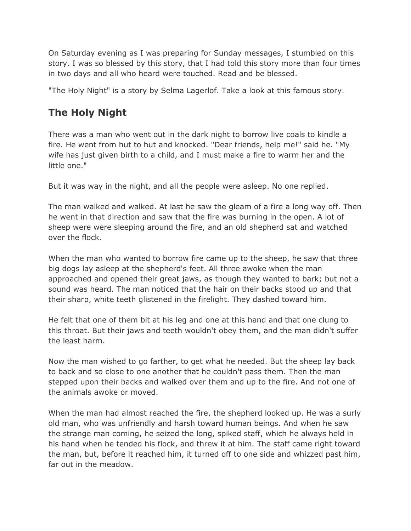On Saturday evening as I was preparing for Sunday messages, I stumbled on this story. I was so blessed by this story, that I had told this story more than four times in two days and all who heard were touched. Read and be blessed.

"The Holy Night" is a story by Selma Lagerlof. Take a look at this famous story.

## **The Holy Night**

There was a man who went out in the dark night to borrow live coals to kindle a fire. He went from hut to hut and knocked. "Dear friends, help me!" said he. "My wife has just given birth to a child, and I must make a fire to warm her and the little one."

But it was way in the night, and all the people were asleep. No one replied.

The man walked and walked. At last he saw the gleam of a fire a long way off. Then he went in that direction and saw that the fire was burning in the open. A lot of sheep were were sleeping around the fire, and an old shepherd sat and watched over the flock.

When the man who wanted to borrow fire came up to the sheep, he saw that three big dogs lay asleep at the shepherd's feet. All three awoke when the man approached and opened their great jaws, as though they wanted to bark; but not a sound was heard. The man noticed that the hair on their backs stood up and that their sharp, white teeth glistened in the firelight. They dashed toward him.

He felt that one of them bit at his leg and one at this hand and that one clung to this throat. But their jaws and teeth wouldn't obey them, and the man didn't suffer the least harm.

Now the man wished to go farther, to get what he needed. But the sheep lay back to back and so close to one another that he couldn't pass them. Then the man stepped upon their backs and walked over them and up to the fire. And not one of the animals awoke or moved.

When the man had almost reached the fire, the shepherd looked up. He was a surly old man, who was unfriendly and harsh toward human beings. And when he saw the strange man coming, he seized the long, spiked staff, which he always held in his hand when he tended his flock, and threw it at him. The staff came right toward the man, but, before it reached him, it turned off to one side and whizzed past him, far out in the meadow.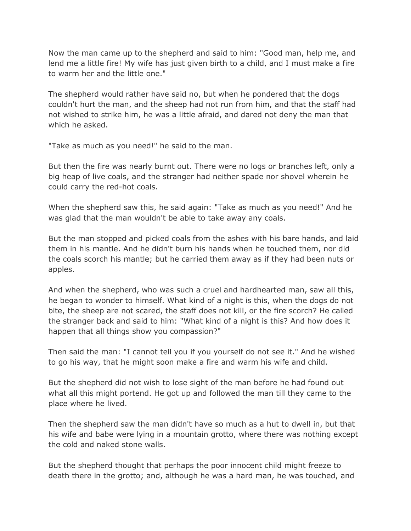Now the man came up to the shepherd and said to him: "Good man, help me, and lend me a little fire! My wife has just given birth to a child, and I must make a fire to warm her and the little one."

The shepherd would rather have said no, but when he pondered that the dogs couldn't hurt the man, and the sheep had not run from him, and that the staff had not wished to strike him, he was a little afraid, and dared not deny the man that which he asked.

"Take as much as you need!" he said to the man.

But then the fire was nearly burnt out. There were no logs or branches left, only a big heap of live coals, and the stranger had neither spade nor shovel wherein he could carry the red-hot coals.

When the shepherd saw this, he said again: "Take as much as you need!" And he was glad that the man wouldn't be able to take away any coals.

But the man stopped and picked coals from the ashes with his bare hands, and laid them in his mantle. And he didn't burn his hands when he touched them, nor did the coals scorch his mantle; but he carried them away as if they had been nuts or apples.

And when the shepherd, who was such a cruel and hardhearted man, saw all this, he began to wonder to himself. What kind of a night is this, when the dogs do not bite, the sheep are not scared, the staff does not kill, or the fire scorch? He called the stranger back and said to him: "What kind of a night is this? And how does it happen that all things show you compassion?"

Then said the man: "I cannot tell you if you yourself do not see it." And he wished to go his way, that he might soon make a fire and warm his wife and child.

But the shepherd did not wish to lose sight of the man before he had found out what all this might portend. He got up and followed the man till they came to the place where he lived.

Then the shepherd saw the man didn't have so much as a hut to dwell in, but that his wife and babe were lying in a mountain grotto, where there was nothing except the cold and naked stone walls.

But the shepherd thought that perhaps the poor innocent child might freeze to death there in the grotto; and, although he was a hard man, he was touched, and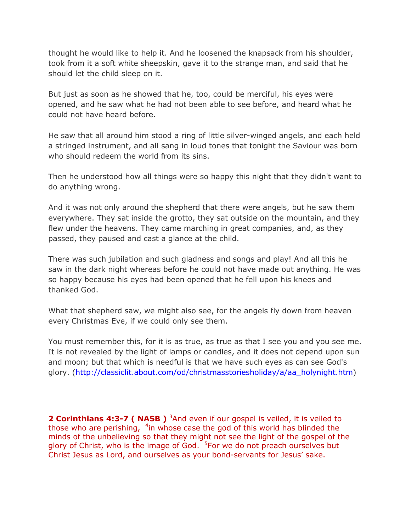thought he would like to help it. And he loosened the knapsack from his shoulder, took from it a soft white sheepskin, gave it to the strange man, and said that he should let the child sleep on it.

But just as soon as he showed that he, too, could be merciful, his eyes were opened, and he saw what he had not been able to see before, and heard what he could not have heard before.

He saw that all around him stood a ring of little silver-winged angels, and each held a stringed instrument, and all sang in loud tones that tonight the Saviour was born who should redeem the world from its sins.

Then he understood how all things were so happy this night that they didn't want to do anything wrong.

And it was not only around the shepherd that there were angels, but he saw them everywhere. They sat inside the grotto, they sat outside on the mountain, and they flew under the heavens. They came marching in great companies, and, as they passed, they paused and cast a glance at the child.

There was such jubilation and such gladness and songs and play! And all this he saw in the dark night whereas before he could not have made out anything. He was so happy because his eyes had been opened that he fell upon his knees and thanked God.

What that shepherd saw, we might also see, for the angels fly down from heaven every Christmas Eve, if we could only see them.

You must remember this, for it is as true, as true as that I see you and you see me. It is not revealed by the light of lamps or candles, and it does not depend upon sun and moon; but that which is needful is that we have such eyes as can see God's glory. [\(http://classiclit.about.com/od/christmasstoriesholiday/a/aa\\_holynight.htm\)](http://classiclit.about.com/od/christmasstoriesholiday/a/aa_holynight.htm)

**2 Corinthians 4:3-7 ( NASB )** <sup>3</sup>And even if our gospel is veiled, it is veiled to those who are perishing,  $4$ in whose case the god of this world has blinded the minds of the unbelieving so that they might not see the light of the gospel of the glory of Christ, who is the image of God. <sup>5</sup>For we do not preach ourselves but Christ Jesus as Lord, and ourselves as your bond-servants for Jesus' sake.